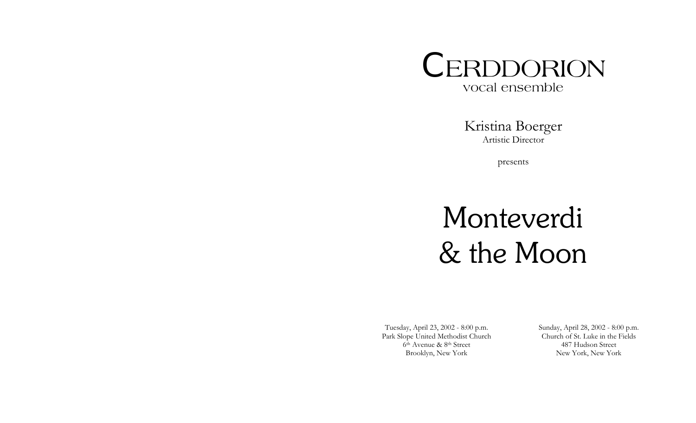

Kristina Boerger Artistic Director

presents

# Monteverdi & the Moon

Tuesday, April 23, 2002 - 8:00 p.m. Park Slope United Methodist Church 6th Avenue & 8th Street Brooklyn, New York

Sunday, April 28, 2002 - 8:00 p.m. Church of St. Luke in the Fields 487 Hudson Street New York, New York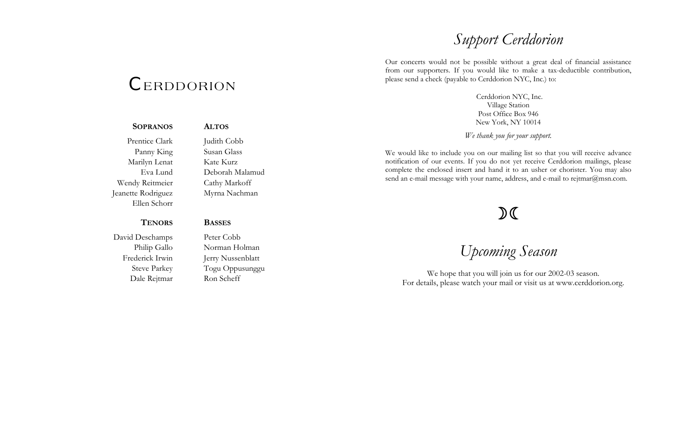### *Support Cerddorion*

Our concerts would not be possible without a great deal of financial assistance from our supporters. If you would like to make a tax-deductible contribution, please send a check (payable to Cerddorion NYC, Inc.) to:

> Cerddorion NYC, Inc. Village Station Post Office Box 946 New York, NY 10014

*We thank you for your support.* 

We would like to include you on our mailing list so that you will receive advance notification of our events. If you do not yet receive Cerddorion mailings, please complete the enclosed insert and hand it to an usher or chorister. You may also send an e-mail message with your name, address, and e-mail to rejtmar@msn.com.

### $D($

*Upcoming Season* 

We hope that you will join us for our 2002-03 season. For details, please watch your mail or visit us at www.cerddorion.org.

## *C*ERDDORION

### Prentice Clark Judith Cobb Panny King Susan Glass

Ellen Schorr

**SOPRANOS**

Marilyn Lenat Kate Kurz Eva Lund Deborah Malamud Wendy Reitmeier Cathy Markoff Jeanette Rodriguez Myrna Nachman

**ALTOS** 

**BASSES**

#### **TENORS**

David Deschamps Peter Cobb Dale Rejtmar Ron Scheff

Philip Gallo Norman Holman Frederick Irwin Jerry Nussenblatt Steve Parkey Togu Oppusunggu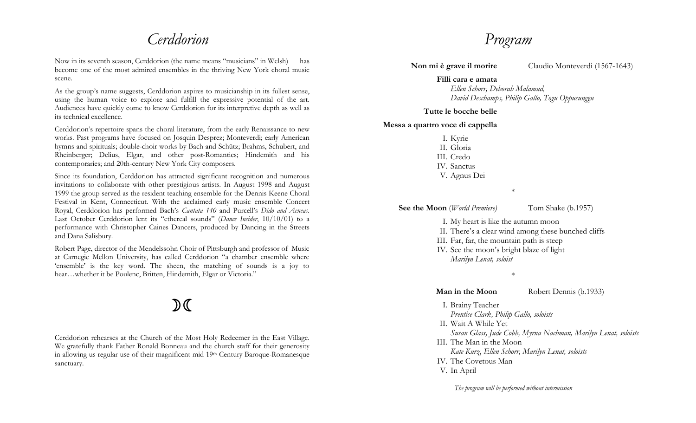### *Cerddorion*

Now in its seventh season, Cerddorion (the name means "musicians" in Welsh) has become one of the most admired ensembles in the thriving New York choral music scene.

As the group's name suggests, Cerddorion aspires to musicianship in its fullest sense, using the human voice to explore and fulfill the expressive potential of the art. Audiences have quickly come to know Cerddorion for its interpretive depth as well as its technical excellence.

Cerddorion's repertoire spans the choral literature, from the early Renaissance to new works. Past programs have focused on Josquin Desprez; Monteverdi; early American hymns and spirituals; double-choir works by Bach and Schütz; Brahms, Schubert, and Rheinberger; Delius, Elgar, and other post-Romantics; Hindemith and his contemporaries; and 20th-century New York City composers.

Since its foundation, Cerddorion has attracted significant recognition and numerous invitations to collaborate with other prestigious artists. In August 1998 and August 1999 the group served as the resident teaching ensemble for the Dennis Keene Choral Festival in Kent, Connecticut. With the acclaimed early music ensemble Concert Royal, Cerddorion has performed Bach's *Cantata 140* and Purcell's *Dido and Aeneas*. Last October Cerddorion lent its "ethereal sounds" (*Dance Insider*, 10/10/01) to a performance with Christopher Caines Dancers, produced by Dancing in the Streets and Dana Salisbury.

Robert Page, director of the Mendelssohn Choir of Pittsburgh and professor of Music at Carnegie Mellon University, has called Cerddorion "a chamber ensemble where 'ensemble' is the key word. The sheen, the matching of sounds is a joy to hear…whether it be Poulenc, Britten, Hindemith, Elgar or Victoria."

# $\mathfrak{D} \mathfrak{C}$

Cerddorion rehearses at the Church of the Most Holy Redeemer in the East Village. We gratefully thank Father Ronald Bonneau and the church staff for their generosity in allowing us regular use of their magnificent mid 19th Century Baroque-Romanesque sanctuary.

### *Program*

**Non mi è grave il morire** Claudio Monteverdi (1567-1643)

**Filli cara e amata***Ellen Schorr, Deborah Malamud, David Deschamps, Philip Gallo, Togu Oppusunggu*

#### **Tutte le bocche belle**

#### **Messa a quattro voce di cappella**

| I. Kyrie                                                                                                                                                                                                                                                                                                 |                    |
|----------------------------------------------------------------------------------------------------------------------------------------------------------------------------------------------------------------------------------------------------------------------------------------------------------|--------------------|
| II. Gloria                                                                                                                                                                                                                                                                                               |                    |
| III. Credo                                                                                                                                                                                                                                                                                               |                    |
| IV. Sanctus                                                                                                                                                                                                                                                                                              |                    |
| V. Agnus Dei                                                                                                                                                                                                                                                                                             |                    |
|                                                                                                                                                                                                                                                                                                          | $\ast$             |
| <b>See the Moon</b> ( <i>World Premiere</i> )                                                                                                                                                                                                                                                            | Tom Shake (b.1957) |
| $T = M_{\text{max}}$ 1. $\frac{1}{2}$ , $\frac{1}{2}$ 1. $\frac{1}{2}$ , $\frac{1}{2}$ , $\frac{1}{2}$ , $\frac{1}{2}$ , $\frac{1}{2}$ , $\frac{1}{2}$ , $\frac{1}{2}$ , $\frac{1}{2}$ , $\frac{1}{2}$ , $\frac{1}{2}$ , $\frac{1}{2}$ , $\frac{1}{2}$ , $\frac{1}{2}$ , $\frac{1}{2}$ , $\frac{1}{2}$ , |                    |

I. My heart is like the autumn moon

II. There's a clear wind among these bunched cliffs

III. Far, far, the mountain path is steep

IV. See the moon's bright blaze of light  *Marilyn Lenat, soloist*

\*

**Man in the Moon** Robert Dennis (b.1933)

- I. Brainy Teacher  *Prentice Clark, Philip Gallo, soloists* 
	-
- II. Wait A While Yet
- *Susan Glass, Jude Cobb, Myrna Nachman, Marilyn Lenat, soloists*
- III. The Man in the Moon
	- *Kate Kurz, Ellen Schorr, Marilyn Lenat, soloists*
- IV. The Covetous Man
- V. In April

*The program will be performed without intermission*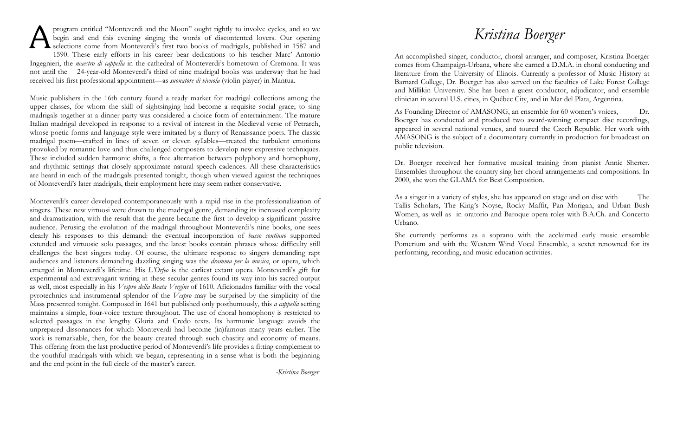**A** program entitled "Monteverdi and the Moon" ought rightly to involve cycles, and so we begin and end this evening singing the words of discontented lovers. Our opening selections come from Monteverdi's first two books o pro gram entitled "M o nteverdi an d the M o o n" ought rightly to involve cycles, and so we begin and end this evening singing the words of discontented lovers. Our opening 1590. These early efforts in his career bear dedications to his teacher Marc' Antonio Ingegnieri, the *maestro di cappella* in the cathedral of Monteverdi's hometown of Cremona. It was not until the 24-year-old Monteverdi's third of nine madrigal books was underway that he had received his first professional appointment—as *suonatore di vivuola* (violin player) in Mantua.

Music publishers in the 16th century found a ready market for madrigal collections among the clinician in several U.S. cities, in Québec City, and in Mar del Plata, Argentina. upper classes, for whom the skill of sightsinging had become a requisite social grace; to sing madrigals together at a dinner party was considered a choice form of entertainment. The mature Italian madrigal developed in response to a revival of interest in the Medieval verse of Petrarch, whose poetic forms and language style were imitated by a flurry of Renaissance poets. The classic madrigal poem—crafted in lines of seven or eleven syllables—treated the turbulent emotions provoked by romantic love and thus challenged composers to develop new expressive techniques. These included sudden harmonic shifts, a free alternation between polyphony and homophony, and rhythmic settings that closely approximate natural speech cadences. All these characteristics are heard in each of the madrigals presented tonight, though when viewed against the techniques of Monteverdi's later madrigals, their employment here may seem rather conservative.

Monteverdi's career developed contemporaneously with a rapid rise in the professionalization of singers. These new virtuosi were drawn to the madrigal genre, demanding its increased complexity and dramatization, with the result that the genre became the first to develop a significant passive audience. Perusing the evolution of the madrigal throughout Monteverdi's nine books, one sees clearly his responses to this demand: the eventual incorporation of *basso continuo* supported extended and virtuosic solo passages, and the latest books contain phrases whose difficulty still challenges the best singers today. Of course, the ultimate response to singers demanding rapt audiences and listeners demanding dazzling singing was the *dramma per la musica*, or opera, which emerged in Monteverdi's lifetime. His *L'Orfeo* is the earliest extant opera. Monteverdi's gift for experimental and extravagant writing in these secular genres found its way into his sacred output as well, most especially in his *Vespro della Beata Vergine* of 1610. Aficionados familiar with the vocal pyrotechnics and instrumental splendor of the *Vespro* may be surprised by the simplicity of the Mass presented tonight. Composed in 1641 but published only posthumously, this *a cappella* setting maintains a simple, four-voice texture throughout. The use of choral homophony is restricted to selected passages in the lengthy Gloria and Credo texts. Its harmonic language avoids the unprepared dissonances for which Monteverdi had become (in)famous many years earlier. The work is remarkable, then, for the beauty created through such chastity and economy of means. This offering from the last productive period of Monteverdi's life provides a fitting complement to the youthful madrigals with which we began, representing in a sense what is both the beginning and the end point in the full circle of the master's career.

*Kristina Boerger* 

An accomplished singer, conductor, choral arranger, and composer, Kristina Boerger comes from Champaign-Urbana, where she earned a D.M.A. in choral conducting and literature from the University of Illinois. Currently a professor of Music History at Barnard College, Dr. Boerger has also served on the faculties of Lake Forest College and Millikin University. She has been a guest conductor, adjudicator, and ensemble

As F oundi n g Director of AMASONG, an e nsemble for 60 wo men's v oices, Dr. Boerger has conducted and produced two award-winning compact disc recordings, appeared in several national venues, and toured the Czech Republic. Her work with AMASONG is the subject of a documentary currently in production for broadcast on public television.

Dr. Boerger received her formative musical training from pianist Annie Sherter. Ensembles throughout the country sing her choral arrangements and compositions. In 2000, she won the GLAMA for Best Composition.

As a singer in a variety of styles, she has appeared on stage and on disc with The Tallis Scholars, The King's Noyse, Rocky Maffit, Pan Morigan, and Urban Bush Women, as well as in oratorio and Baroque opera roles with B.A.Ch. and Concerto Urbano.

She currently performs as a soprano with the acclaimed early music ensemble Pomerium and with the Western Wind Vocal Ensemble, a sextet renowned for its performing, recording, and music education activities.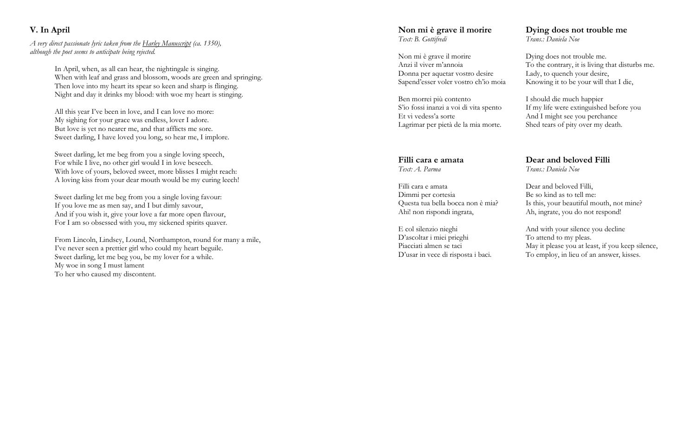#### **V. In April**

*A very direct passionate lyric taken from the Harley Manuscript (ca. 1350), although the poet seems to anticipate being rejected.* 

> In April, when, as all can hear, the nightingale is singing. When with leaf and grass and blossom, woods are green and springing. Then love into my heart its spear so keen and sharp is flinging. Night and day it drinks my blood: with woe my heart is stinging.

All this year I've been in love, and I can love no more: My sighing for your grace was endless, lover I adore. But love is yet no nearer me, and that afflicts me sore. Sweet darling, I have loved you long, so hear me, I implore.

Sweet darling, let me beg from you a single loving speech, For while I live, no other girl would I in love beseech. With love of yours, beloved sweet, more blisses I might reach: A loving kiss from your dear mouth would be my curing leech!

Sweet darling let me beg from you a single loving favour: If you love me as men say, and I but dimly savour, And if you wish it, give your love a far more open flavour, For I am so obsessed with you, my sickened spirits quaver.

From Lincoln, Lindsey, Lound, Northampton, round for many a mile, I've never seen a prettier girl who could my heart beguile. Sweet darling, let me beg you, be my lover for a while. My woe in song I must lament To her who caused my discontent.

#### **Non mi è grave il morire** *Text: B. Gottifredi*

Non mi è grave il morire Anzi il viver m'annoia Donna per aquetar vostro desire Sapend'esser voler vostro ch'io moia

Ben morrei più contento S'io fossi inanzi a voi di vita spento Et vi vedess'a sorte Lagrimar per pietà de la mia morte.

#### **Filli cara e amata***Text: A. Parma*

Filli cara e amata Dimmi per cortesia Questa tua bella bocca non è mia? Ahi! non rispondi ingrata,

E col silenzio nieghi D'ascoltar i miei prieghi Piacciati almen se taci D'usar in vece di risposta i baci.

#### **Dying does not trouble me**  *Trans.: Daniela Noe*

Dying does not trouble me. To the contrary, it is living that disturbs me. Lady, to quench your desire, Knowing it to be your will that I die,

I should die much happier If my life were extinguished before you And I might see you perchance Shed tears of pity over my death.

#### **Dear and beloved Filli** *Trans.: Daniela Noe*

Dear and beloved Filli, Be so kind as to tell me: Is this, your beautiful mouth, not mine? Ah, ingrate, you do not respond!

And with your silence you decline To attend to my pleas. May it please you at least, if you keep silence, To employ, in lieu of an answer, kisses.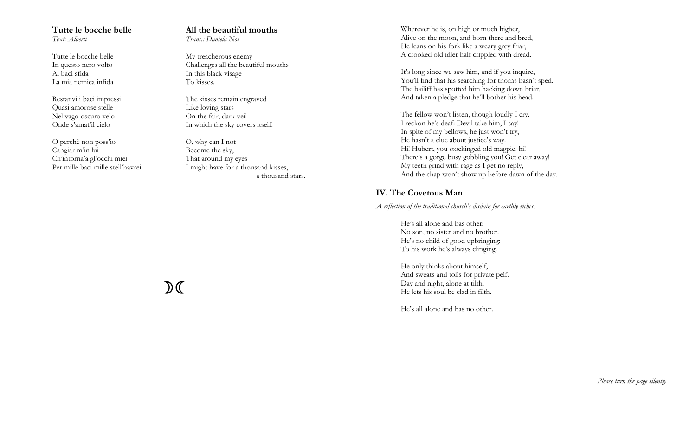#### **Tutte le bocche belle***Text: Alberti*

Tutte le bocche belle In questo nero volto Ai baci sfida La mia nemica infida

Restanvi i baci impressi Quasi amorose stelle Nel vago oscuro velo Onde s'amat'il cielo

O perchè non poss'io Cangiar m'in lui Ch'intorna'a gl'occhi miei Per mille baci mille stell'havrei.

#### **All the beautiful mouths** *Trans.: Daniela Noe*

My treacherous enemy Challenges all the beautiful mouths In this black visage To kisses.

The kisses remain engraved Like loving stars On the fair, dark veil In which the sky covers itself.

O, why can I not Become the sky, That around my eyes I might have for a thousand kisses, a thousand stars. Wherever he is, on high or much higher, Alive on the moon, and born there and bred, He leans on his fork like a weary grey friar, A crooked old idler half crippled with dread.

It's long since we saw him, and if you inquire, You'll find that his searching for thorns hasn't sped. The bailiff has spotted him hacking down briar, And taken a pledge that he'll bother his head.

The fellow won't listen, though loudly I cry. I reckon he's deaf: Devil take him, I say! In spite of my bellows, he just won't try, He hasn't a clue about justice's way. Hi! Hubert, you stockinged old magpie, hi! There's a gorge busy gobbling you! Get clear away! My teeth grind with rage as I get no reply, And the chap won't show up before dawn of the day.

#### **IV. The Covetous Man**

*A reflection of the traditional church's disdain for earthly riches.* 

He's all alone and has other: No son, no sister and no brother. He's no child of good upbringing: To his work he's always clinging.

He only thinks about himself, And sweats and toils for private pelf. Day and night, alone at tilth. He lets his soul be clad in filth.

He's all alone and has no other.

 $\mathcal{D}$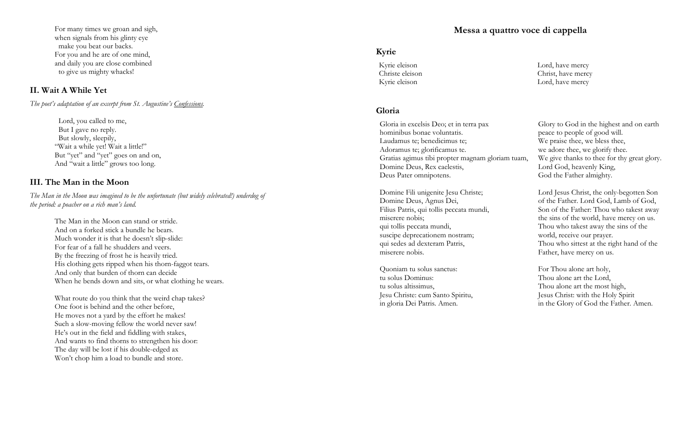For many times we groan and sigh, when signals from his glinty eye make you beat our backs. For you and he are of one mind, and daily you are close combined to give us mighty whacks!

#### **II. Wait A While Yet**

*The poet's adaptation of an excerpt from St. Augustine's Confessions.* 

 Lord, you called to me, But I gave no reply. But slowly, sleepily, "Wait a while yet! Wait a little!" But "yet" and "yet" goes on and on, And "wait a little" grows too long.

#### **III. The Man in the Moon**

*The Man in the Moon was imagined to be the unfortunate (but widely celebrated!) underdog of the period: a poacher on a rich man's land.* 

> The Man in the Moon can stand or stride. And on a forked stick a bundle he bears. Much wonder it is that he doesn't slip-slide: For fear of a fall he shudders and veers. By the freezing of frost he is heavily tried. His clothing gets ripped when his thorn-faggot tears. And only that burden of thorn can decide When he bends down and sits, or what clothing he wears.

What route do you think that the weird chap takes? One foot is behind and the other before, He moves not a yard by the effort he makes! Such a slow-moving fellow the world never saw! He's out in the field and fiddling with stakes, And wants to find thorns to strengthen his door: The day will be lost if his double-edged ax Won't chop him a load to bundle and store.

#### **Messa a quattro voce di cappella**

Lord, have mercy Christ, have mercy Lord, have mercy

#### **Kyrie**

Kyrie eleison Christe eleison Kyrie eleison

#### **Gloria**

Gloria in excelsis Deo; et in terra pax hominibus bonae voluntatis. Laudamus te; benedicimus te; Adoramus te; glorificamus te. Gratias agimus tibi propter magnam gloriam tuam, Domine Deus, Rex caelestis, Deus Pater omnipotens.

Domine Fili unigenite Jesu Christe; Domine Deus, Agnus Dei, Filius Patris, qui tollis peccata mundi, miserere nobis; qui tollis peccata mundi, suscipe deprecationem nostram; qui sedes ad dexteram Patris, miserere nobis.

Quoniam tu solus sanctus: tu solus Dominus: tu solus altissimus, Jesu Christe: cum Santo Spiritu, in gloria Dei Patris. Amen.

Glory to God in the highest and on earth peace to people of good will. We praise thee, we bless thee, we adore thee, we glorify thee. We give thanks to thee for thy great glory. Lord God, heavenly King, God the Father almighty.

Lord Jesus Christ, the only-begotten Son of the Father. Lord God, Lamb of God, Son of the Father: Thou who takest away the sins of the world, have mercy on us. Thou who takest away the sins of the world, receive our prayer. Thou who sittest at the right hand of the Father, have mercy on us.

For Thou alone art holy, Thou alone art the Lord, Thou alone art the most high, Jesus Christ: with the Holy Spirit in the Glory of God the Father. Amen.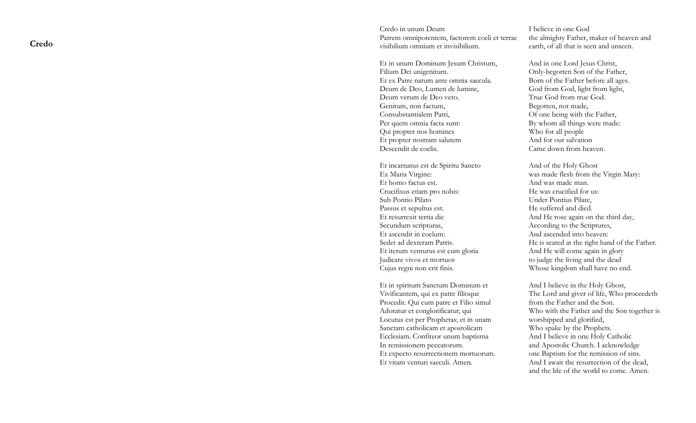**Credo** 

Credo in unum Deum Patrem omnipotentem, factorem coeli et terrae visibilium omnium et invisibilium.

Et in unum Dominum Jesum Christum, Filium Dei unigenitum. Et ex Patre natum ante omnia saecula. Deum de Deo, Lumen de lumine, Deum verum de Deo vero. Genitum, non factum, Consubstantialem Patri, Per quem omnia facta sunt: Qui propter nos homines Et propter nostram salutem Descendit de coelis.

Et incarnatus est de Spiritu Sancto Ex Maria Virgine: Et homo factus est. Crucifixus etiam pro nobis: Sub Pontio Pilato Passus et sepultus est. Et resurrexit tertia die Secundum scripturas, Et ascendit in coelum: Sedet ad dexteram Patris. Et iterum venturus est cum gloria Judicare vivos et mortuos Cujus regni non erit finis.

Et in spiritum Sanctum Dominum et Vivificantem, qui ex patre filioque Procedit. Qui cum patre et Filio simul Adoratur et conglorificatur; qui Locutus est per Prophetas; et in unam Sanctam catholicam et apostolicam Ecclesiam. Confiteor unum baptisma In remissionem peccatorum. Et expecto resurrectionem mortuorum. Et vitam venturi saeculi. Amen.

I believe in one God the almighty Father, maker of heaven and earth, of all that is seen and unseen.

And in one Lord Jesus Christ, Only-begotten Son of the Father, Born of the Father before all ages. God from God, light from light, True God from true God. Begotten, not made, Of one being with the Father, By whom all things were made: Who for all people And for our salvation Came down from heaven.

And of the Holy Ghost was made flesh from the Virgin Mary: And was made man. He was crucified for us: Under Pontius Pilate, He suffered and died. And He rose again on the third day, According to the Scriptures, And ascended into heaven: He is seated at the right hand of the Father. And He will come again in glory to judge the living and the dead Whose kingdom shall have no end.

And I believe in the Holy Ghost, The Lord and giver of life, Who proceedeth from the Father and the Son. Who with the Father and the Son together is worshipped and glorified, Who spake by the Prophets. And I believe in one Holy Catholic and Apostolic Church. I acknowledge one Baptism for the remission of sins. And I await the resurrection of the dead, and the life of the world to come. Amen.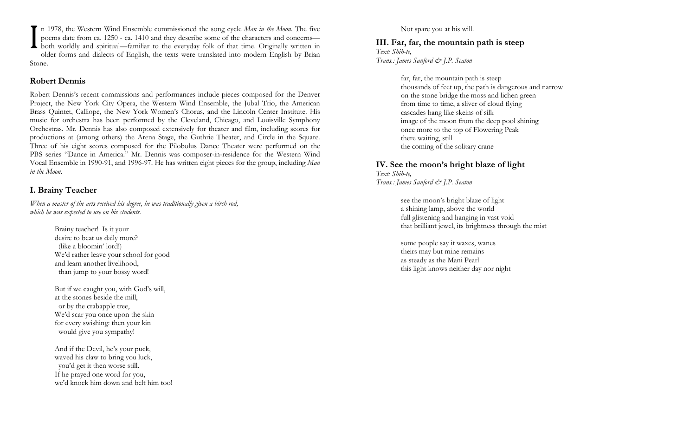In 1978, the Western Wind Ensemble commissioned the song cycle *Man in the Moon*. The five poems date from ca. 1250 - ca. 1410 and they describe some of the characters and concerns—<br>both worldly and spiritual—familiar to t n 1978, the Western Wind Ensemble commissioned the song cycle *Man in the Moon*. The five<br>poems date from ca. 1250 - ca. 1410 and they describe some of the characters and concerns—<br>both worldly and spiritual—familiar to th p oems date fro m ca. 1250 - ca. 1410 an d they describe some of the characters and concerns older forms an d dialects of En glish, the texts were translated into modern English by Brian Stone.

#### **Robert Dennis**

Robert Dennis's recent commissions and performances include pieces composed for the Denver Project, the New York City Opera, the Western Wind Ensemble, the Jubal Trio, the American Brass Quintet, Calliope, the New York Women's Chorus, and the Lincoln Center Institute. His music for orchestra has been performed by the Cleveland, Chicago, and Louisville Symphony Orchestras. Mr. Dennis has also composed extensively for theater and film, including scores for productions at (among others) the Arena Stage, the Guthrie Theater, and Circle in the Square. Three of his eight scores composed for the Pilobolus Dance Theater were performed on the PBS series "Dance in America." Mr. Dennis was composer-in-residence for the Western Wind Vocal Ensemble in 1990-91, and 1996-97. He has written eight pieces for the group, including *Man in the Moon*.

#### **I. Brainy Teacher**

*When a master of the arts received his degree, he was traditionally given a birch rod, which he was expected to use on his students.* 

- Brainy teacher! Is it your<br>desire to beat us daily more? (like a bloomin' lord!) We'd rather leave your school for good and learn another livelihood, than jump to your bossy word!
- But if we caught you, with God's will, at the stones beside the mill, or by the crabapple tree, We'd scar you once upon the skin for every swishing: then your kin would give you sympathy!

And if the Devil, he's your puck, waved his claw to bring you luck, you'd get it then worse still. If he prayed one word for you, we'd knock him down and belt him too! Not spare you at his will.

**III. Far, far, the mountain path is steep**  *Text: Shih-te, Trans.: James Sanford & J.P. Seaton*

> far, far, the mountain path is steep thousands of feet up, the path is dangerous and narrow on the stone bridge the moss and lichen green from time to time, a sliver of cloud flying cascades hang like skeins of silk image of the moon from the deep pool shining once more to the top of Flowering Peak there waiting, still the coming of the solitary crane

### **IV. See the moon's bright blaze of light**

*Text: Shih-te, Trans.: James Sanford & J.P. Seaton*

> see the moon's bright blaze of light a shining lamp, above the world full glistening and hanging in vast void that brilliant jewel, its brightness through the mist

some people say it waxes, wanes theirs may but mine remains as steady as the Mani Pearl this light knows neither day nor night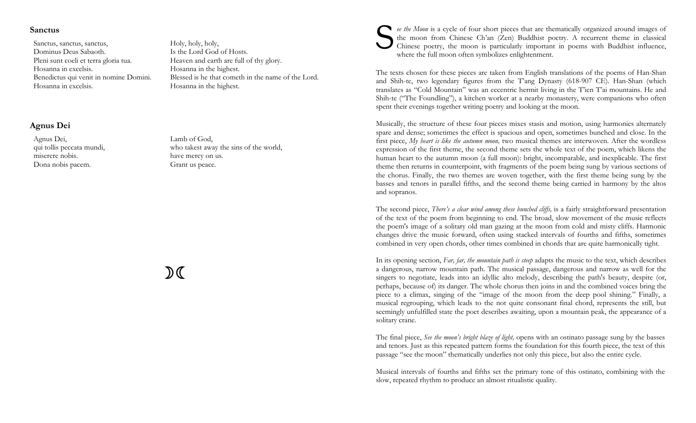#### **Sanctus**

Sanctus, sanctus, sanctus, Dominus Deus Sabaoth. Pleni sunt coeli et terra gloria tua. Hosanna in excelsis. Benedictus qui venit in nomine Domini. Hosanna in excelsis.

#### **Agnus Dei**

Agnus Dei, qui tollis peccata mundi, miserere nobis. Dona nobis pacem.

Holy, holy, holy, Is the Lord God of Hosts. Heaven and earth are full of thy glory. Hosanna in the highest. Blessed is he that cometh in the name of the Lord. Hosanna in the highest.

who takest away the sins of the world,

 $\mathcal{D} \subset \mathcal{C}$ 

Lamb of God,

have mercy on us. Grant us peace.



ee the Moon is a cycle of four short pieces that are thematically organized around images of the moon from Chinese Ch'an (Zen) Buddhist poetry. A recurrent theme in classical Chinese poetry, the moon is particularly import where the full moon often symbolizes enlightenment.

The texts chosen for these pieces are taken from English translations of the poems of Han-Shan and Shih-te, two legendary figures from the T'ang Dynasty (618-907 CE). Han-Shan (which translates as "Cold Mountain" was an eccentric hermit living in the T'ien T'ai mountains. He and Shih-te ("The Foundling"), a kitchen worker at a nearby monastery, were companions who often spent their evenings together writing poetry and looking at the moon.

Musically, the structure of these four pieces mixes stasis and motion, using harmonies alternately spare and dense; sometimes the effect is spacious and open, sometimes bunched and close. In the first piece, *My heart is like the autumn moon,* two musical themes are interwoven. After the wordless expression of the first theme, the second theme sets the whole text of the poem, which likens the human heart to the autumn moon (a full moon): bright, incomparable, and inexplicable. The first theme then returns in counterpoint, with fragments of the poem being sung by various sections of the chorus. Finally, the two themes are woven together, with the first theme being sung by the basses and tenors in parallel fifths, and the second theme being carried in harmony by the altos and sopranos.

The second piece, *There's a clear wind among these bunched cliffs,* is a fairly straightforward presentation of the text of the poem from beginning to end. The broad, slow movement of the music reflects the poem's image of a solitary old man gazing at the moon from cold and misty cliffs. Harmonic changes drive the music forward, often using stacked intervals of fourths and fifths, sometimes combined in very open chords, other times combined in chords that are quite harmonically tight.

In its opening section, *Far, far, the mountain path is steep* adapts the music to the text, which describes a dangerous, narrow mountain path. The musical passage, dangerous and narrow as well for the singers to negotiate, leads into an idyllic alto melody, describing the path's beauty, despite (or, perhaps, because of) its danger. The whole chorus then joins in and the combined voices bring the piece to a climax, singing of the "image of the moon from the deep pool shining." Finally, a musical regrouping, which leads to the not quite consonant final chord, represents the still, but seemingly unfulfilled state the poet describes awaiting, upon a mountain peak, the appearance of a solitary crane.

The final piece, *See the moon's bright blaze of light,* opens with an ostinato passage sung by the basses and tenors. Just as this repeated pattern forms the foundation for this fourth piece, the text of this passage "see the moon" thematically underlies not only this piece, but also the entire cycle.

Musical intervals of fourths and fifths set the primary tone of this ostinato, combining with the slow, repeated rhythm to produce an almost ritualistic quality.